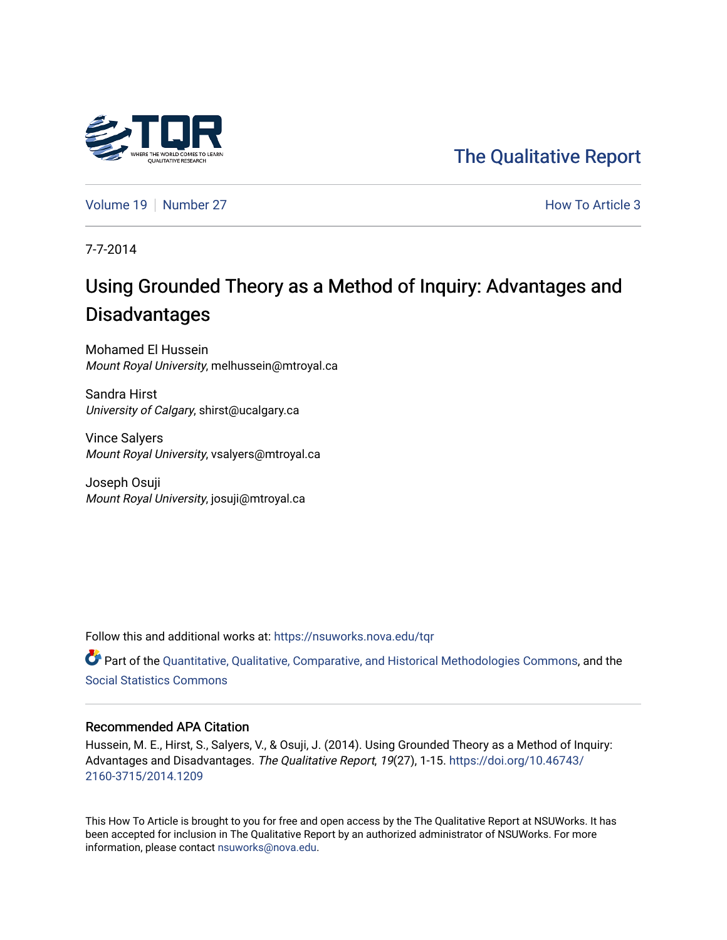

# [The Qualitative Report](https://nsuworks.nova.edu/tqr)

[Volume 19](https://nsuworks.nova.edu/tqr/vol19) [Number 27](https://nsuworks.nova.edu/tqr/vol19/iss27) **How To Article 3** How To Article 3

7-7-2014

# Using Grounded Theory as a Method of Inquiry: Advantages and Disadvantages

Mohamed El Hussein Mount Royal University, melhussein@mtroyal.ca

Sandra Hirst University of Calgary, shirst@ucalgary.ca

Vince Salyers Mount Royal University, vsalyers@mtroyal.ca

Joseph Osuji Mount Royal University, josuji@mtroyal.ca

Follow this and additional works at: [https://nsuworks.nova.edu/tqr](https://nsuworks.nova.edu/tqr?utm_source=nsuworks.nova.edu%2Ftqr%2Fvol19%2Fiss27%2F3&utm_medium=PDF&utm_campaign=PDFCoverPages) 

Part of the [Quantitative, Qualitative, Comparative, and Historical Methodologies Commons,](http://network.bepress.com/hgg/discipline/423?utm_source=nsuworks.nova.edu%2Ftqr%2Fvol19%2Fiss27%2F3&utm_medium=PDF&utm_campaign=PDFCoverPages) and the [Social Statistics Commons](http://network.bepress.com/hgg/discipline/1275?utm_source=nsuworks.nova.edu%2Ftqr%2Fvol19%2Fiss27%2F3&utm_medium=PDF&utm_campaign=PDFCoverPages) 

# Recommended APA Citation

Hussein, M. E., Hirst, S., Salyers, V., & Osuji, J. (2014). Using Grounded Theory as a Method of Inquiry: Advantages and Disadvantages. The Qualitative Report, 19(27), 1-15. [https://doi.org/10.46743/](https://doi.org/10.46743/2160-3715/2014.1209) [2160-3715/2014.1209](https://doi.org/10.46743/2160-3715/2014.1209)

This How To Article is brought to you for free and open access by the The Qualitative Report at NSUWorks. It has been accepted for inclusion in The Qualitative Report by an authorized administrator of NSUWorks. For more information, please contact [nsuworks@nova.edu.](mailto:nsuworks@nova.edu)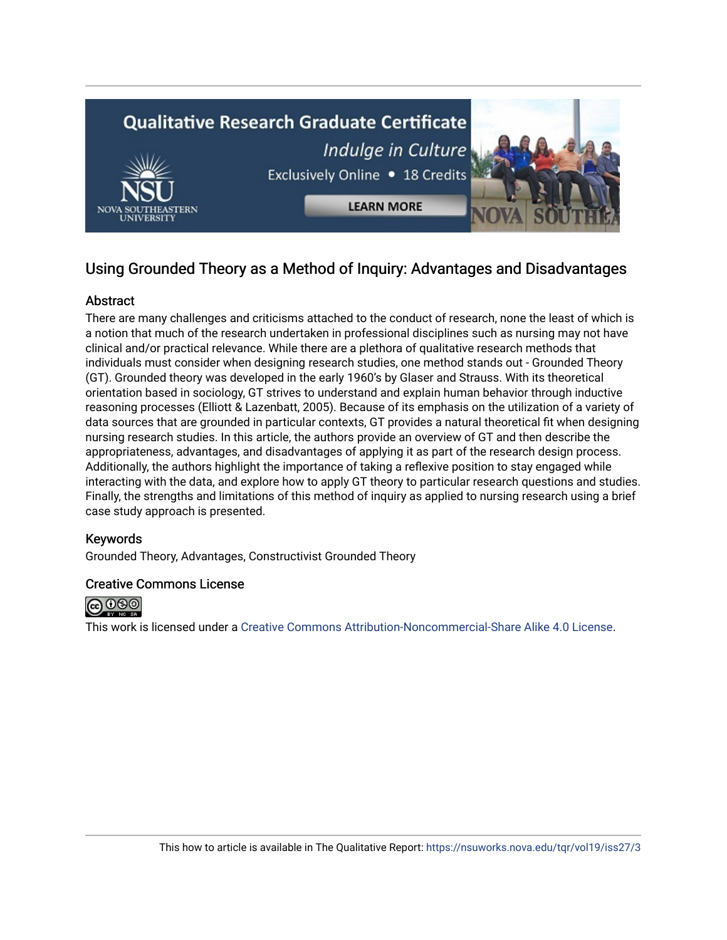

# Using Grounded Theory as a Method of Inquiry: Advantages and Disadvantages

# Abstract

There are many challenges and criticisms attached to the conduct of research, none the least of which is a notion that much of the research undertaken in professional disciplines such as nursing may not have clinical and/or practical relevance. While there are a plethora of qualitative research methods that individuals must consider when designing research studies, one method stands out - Grounded Theory (GT). Grounded theory was developed in the early 1960's by Glaser and Strauss. With its theoretical orientation based in sociology, GT strives to understand and explain human behavior through inductive reasoning processes (Elliott & Lazenbatt, 2005). Because of its emphasis on the utilization of a variety of data sources that are grounded in particular contexts, GT provides a natural theoretical fit when designing nursing research studies. In this article, the authors provide an overview of GT and then describe the appropriateness, advantages, and disadvantages of applying it as part of the research design process. Additionally, the authors highlight the importance of taking a reflexive position to stay engaged while interacting with the data, and explore how to apply GT theory to particular research questions and studies. Finally, the strengths and limitations of this method of inquiry as applied to nursing research using a brief case study approach is presented.

# Keywords

Grounded Theory, Advantages, Constructivist Grounded Theory

# Creative Commons License



This work is licensed under a [Creative Commons Attribution-Noncommercial-Share Alike 4.0 License](https://creativecommons.org/licenses/by-nc-sa/4.0/).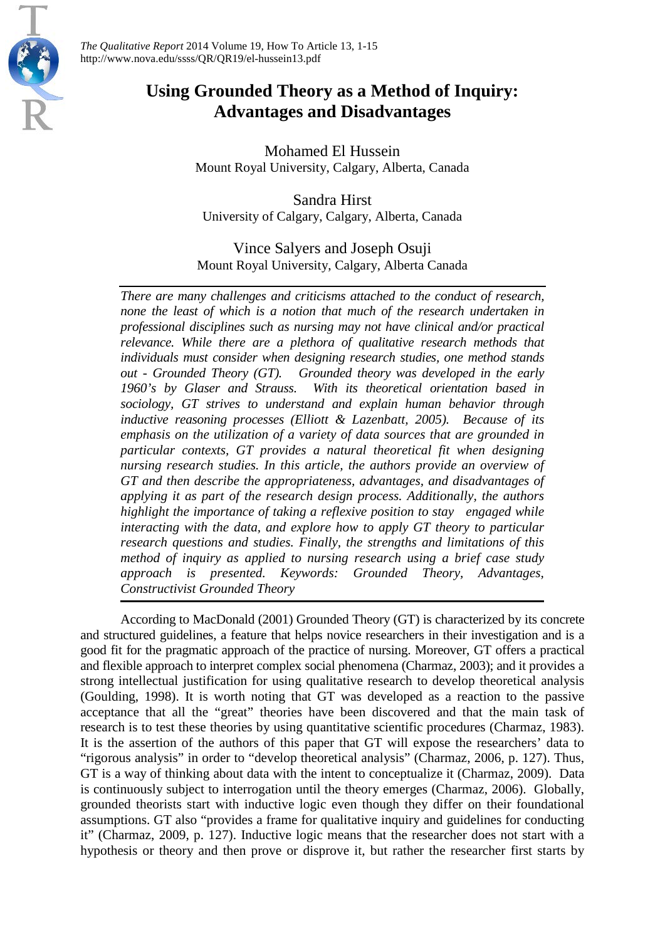

*The Qualitative Report* 2014 Volume 19, How To Article 13, 1-15 http://www.nova.edu/ssss/QR/QR19/el-hussein13.pdf

# **Using Grounded Theory as a Method of Inquiry: Advantages and Disadvantages**

Mohamed El Hussein Mount Royal University, Calgary, Alberta, Canada

Sandra Hirst University of Calgary, Calgary, Alberta, Canada

Vince Salyers and Joseph Osuji Mount Royal University, Calgary, Alberta Canada

*There are many challenges and criticisms attached to the conduct of research, none the least of which is a notion that much of the research undertaken in professional disciplines such as nursing may not have clinical and/or practical relevance. While there are a plethora of qualitative research methods that individuals must consider when designing research studies, one method stands out - Grounded Theory (GT). Grounded theory was developed in the early 1960's by Glaser and Strauss. With its theoretical orientation based in sociology, GT strives to understand and explain human behavior through inductive reasoning processes (Elliott & Lazenbatt, 2005). Because of its emphasis on the utilization of a variety of data sources that are grounded in particular contexts, GT provides a natural theoretical fit when designing nursing research studies. In this article, the authors provide an overview of GT and then describe the appropriateness, advantages, and disadvantages of applying it as part of the research design process. Additionally, the authors highlight the importance of taking a reflexive position to stay engaged while interacting with the data, and explore how to apply GT theory to particular research questions and studies. Finally, the strengths and limitations of this method of inquiry as applied to nursing research using a brief case study approach is presented. Keywords: Grounded Theory, Advantages, Constructivist Grounded Theory*

According to MacDonald (2001) Grounded Theory (GT) is characterized by its concrete and structured guidelines, a feature that helps novice researchers in their investigation and is a good fit for the pragmatic approach of the practice of nursing. Moreover, GT offers a practical and flexible approach to interpret complex social phenomena (Charmaz, 2003); and it provides a strong intellectual justification for using qualitative research to develop theoretical analysis (Goulding, 1998). It is worth noting that GT was developed as a reaction to the passive acceptance that all the "great" theories have been discovered and that the main task of research is to test these theories by using quantitative scientific procedures (Charmaz, 1983). It is the assertion of the authors of this paper that GT will expose the researchers' data to "rigorous analysis" in order to "develop theoretical analysis" (Charmaz, 2006, p. 127). Thus, GT is a way of thinking about data with the intent to conceptualize it (Charmaz, 2009). Data is continuously subject to interrogation until the theory emerges (Charmaz, 2006). Globally, grounded theorists start with inductive logic even though they differ on their foundational assumptions. GT also "provides a frame for qualitative inquiry and guidelines for conducting it" (Charmaz, 2009, p. 127). Inductive logic means that the researcher does not start with a hypothesis or theory and then prove or disprove it, but rather the researcher first starts by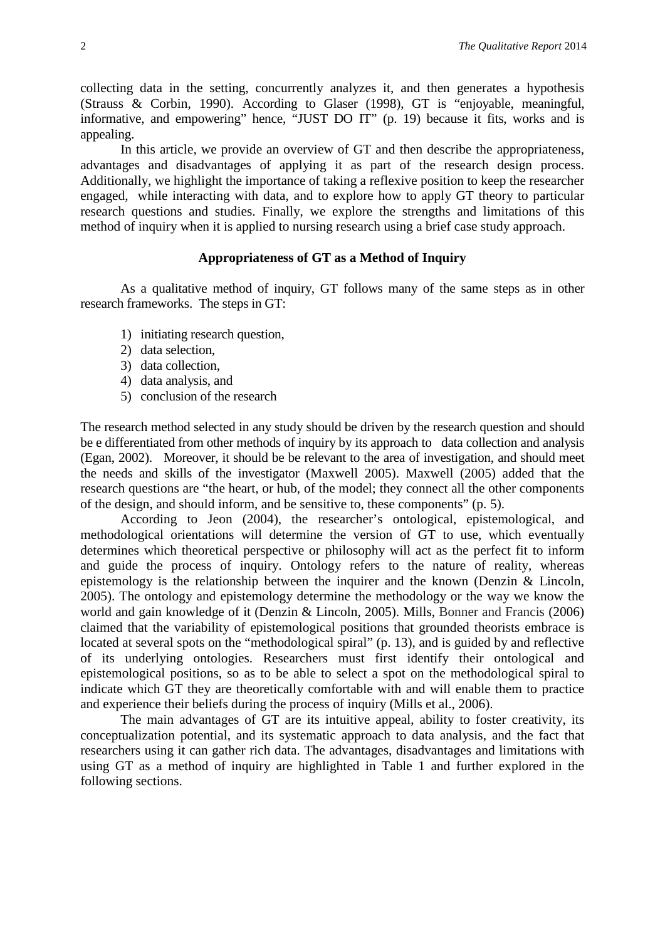collecting data in the setting, concurrently analyzes it, and then generates a hypothesis (Strauss & Corbin, 1990). According to Glaser (1998), GT is "enjoyable, meaningful, informative, and empowering" hence, "JUST DO IT" (p. 19) because it fits, works and is appealing.

In this article, we provide an overview of GT and then describe the appropriateness, advantages and disadvantages of applying it as part of the research design process. Additionally, we highlight the importance of taking a reflexive position to keep the researcher engaged, while interacting with data, and to explore how to apply GT theory to particular research questions and studies. Finally, we explore the strengths and limitations of this method of inquiry when it is applied to nursing research using a brief case study approach.

#### **Appropriateness of GT as a Method of Inquiry**

As a qualitative method of inquiry, GT follows many of the same steps as in other research frameworks. The steps in GT:

- 1) initiating research question,
- 2) data selection,
- 3) data collection,
- 4) data analysis, and
- 5) conclusion of the research

The research method selected in any study should be driven by the research question and should be e differentiated from other methods of inquiry by its approach to data collection and analysis (Egan, 2002). Moreover, it should be be relevant to the area of investigation, and should meet the needs and skills of the investigator (Maxwell 2005). Maxwell (2005) added that the research questions are "the heart, or hub, of the model; they connect all the other components of the design, and should inform, and be sensitive to, these components" (p. 5).

According to Jeon (2004), the researcher's ontological, epistemological, and methodological orientations will determine the version of GT to use, which eventually determines which theoretical perspective or philosophy will act as the perfect fit to inform and guide the process of inquiry. Ontology refers to the nature of reality, whereas epistemology is the relationship between the inquirer and the known (Denzin & Lincoln, 2005). The ontology and epistemology determine the methodology or the way we know the world and gain knowledge of it (Denzin & Lincoln, 2005). Mills, Bonner and Francis (2006) claimed that the variability of epistemological positions that grounded theorists embrace is located at several spots on the "methodological spiral" (p. 13), and is guided by and reflective of its underlying ontologies. Researchers must first identify their ontological and epistemological positions, so as to be able to select a spot on the methodological spiral to indicate which GT they are theoretically comfortable with and will enable them to practice and experience their beliefs during the process of inquiry (Mills et al., 2006).

The main advantages of GT are its intuitive appeal, ability to foster creativity, its conceptualization potential, and its systematic approach to data analysis, and the fact that researchers using it can gather rich data. The advantages, disadvantages and limitations with using GT as a method of inquiry are highlighted in Table 1 and further explored in the following sections.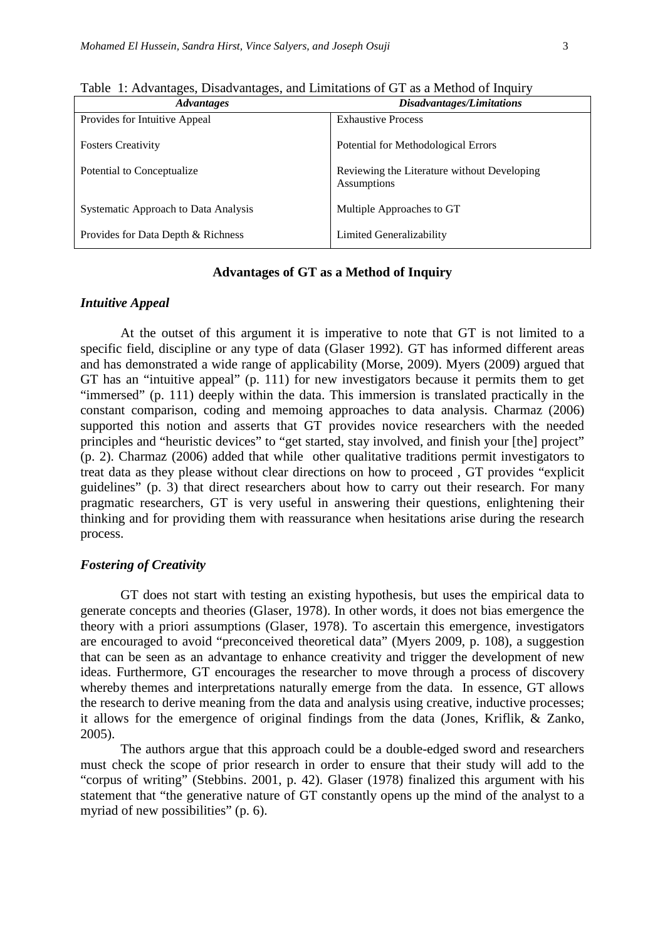| <b>Advantages</b>                    | Disadvantages/Limitations                                         |
|--------------------------------------|-------------------------------------------------------------------|
| Provides for Intuitive Appeal        | <b>Exhaustive Process</b>                                         |
| <b>Fosters Creativity</b>            | Potential for Methodological Errors                               |
| Potential to Conceptualize           | Reviewing the Literature without Developing<br><b>Assumptions</b> |
| Systematic Approach to Data Analysis | Multiple Approaches to GT                                         |
| Provides for Data Depth & Richness   | Limited Generalizability                                          |

Table 1: Advantages, Disadvantages, and Limitations of GT as a Method of Inquiry

#### **Advantages of GT as a Method of Inquiry**

#### *Intuitive Appeal*

At the outset of this argument it is imperative to note that GT is not limited to a specific field, discipline or any type of data (Glaser 1992). GT has informed different areas and has demonstrated a wide range of applicability (Morse, 2009). Myers (2009) argued that GT has an "intuitive appeal" (p. 111) for new investigators because it permits them to get "immersed" (p. 111) deeply within the data. This immersion is translated practically in the constant comparison, coding and memoing approaches to data analysis. Charmaz (2006) supported this notion and asserts that GT provides novice researchers with the needed principles and "heuristic devices" to "get started, stay involved, and finish your [the] project" (p. 2). Charmaz (2006) added that while other qualitative traditions permit investigators to treat data as they please without clear directions on how to proceed , GT provides "explicit guidelines" (p. 3) that direct researchers about how to carry out their research. For many pragmatic researchers, GT is very useful in answering their questions, enlightening their thinking and for providing them with reassurance when hesitations arise during the research process.

#### *Fostering of Creativity*

GT does not start with testing an existing hypothesis, but uses the empirical data to generate concepts and theories (Glaser, 1978). In other words, it does not bias emergence the theory with a priori assumptions (Glaser, 1978). To ascertain this emergence, investigators are encouraged to avoid "preconceived theoretical data" (Myers 2009, p. 108), a suggestion that can be seen as an advantage to enhance creativity and trigger the development of new ideas. Furthermore, GT encourages the researcher to move through a process of discovery whereby themes and interpretations naturally emerge from the data. In essence, GT allows the research to derive meaning from the data and analysis using creative, inductive processes; it allows for the emergence of original findings from the data (Jones, Kriflik, & Zanko, 2005).

The authors argue that this approach could be a double-edged sword and researchers must check the scope of prior research in order to ensure that their study will add to the "corpus of writing" (Stebbins. 2001, p. 42). Glaser (1978) finalized this argument with his statement that "the generative nature of GT constantly opens up the mind of the analyst to a myriad of new possibilities" (p. 6).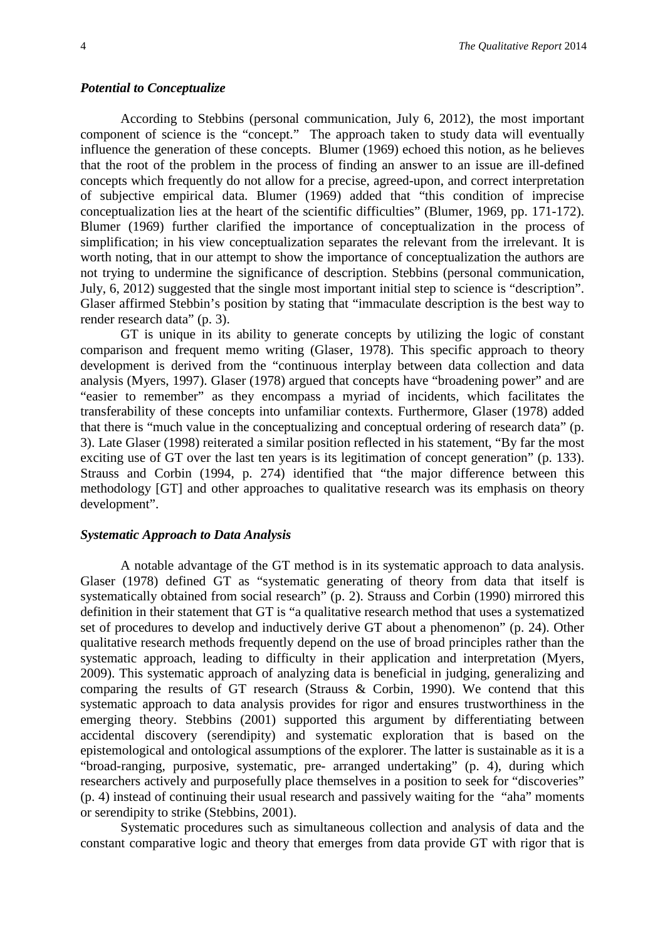#### *Potential to Conceptualize*

According to Stebbins (personal communication, July 6, 2012), the most important component of science is the "concept." The approach taken to study data will eventually influence the generation of these concepts. Blumer (1969) echoed this notion, as he believes that the root of the problem in the process of finding an answer to an issue are ill-defined concepts which frequently do not allow for a precise, agreed-upon, and correct interpretation of subjective empirical data. Blumer (1969) added that "this condition of imprecise conceptualization lies at the heart of the scientific difficulties" (Blumer, 1969, pp. 171-172). Blumer (1969) further clarified the importance of conceptualization in the process of simplification; in his view conceptualization separates the relevant from the irrelevant. It is worth noting, that in our attempt to show the importance of conceptualization the authors are not trying to undermine the significance of description. Stebbins (personal communication, July, 6, 2012) suggested that the single most important initial step to science is "description". Glaser affirmed Stebbin's position by stating that "immaculate description is the best way to render research data" (p. 3).

GT is unique in its ability to generate concepts by utilizing the logic of constant comparison and frequent memo writing (Glaser, 1978). This specific approach to theory development is derived from the "continuous interplay between data collection and data analysis (Myers, 1997). Glaser (1978) argued that concepts have "broadening power" and are "easier to remember" as they encompass a myriad of incidents, which facilitates the transferability of these concepts into unfamiliar contexts. Furthermore, Glaser (1978) added that there is "much value in the conceptualizing and conceptual ordering of research data" (p. 3). Late Glaser (1998) reiterated a similar position reflected in his statement, "By far the most exciting use of GT over the last ten years is its legitimation of concept generation" (p. 133). Strauss and Corbin (1994, p. 274) identified that "the major difference between this methodology [GT] and other approaches to qualitative research was its emphasis on theory development".

#### *Systematic Approach to Data Analysis*

A notable advantage of the GT method is in its systematic approach to data analysis. Glaser (1978) defined GT as "systematic generating of theory from data that itself is systematically obtained from social research" (p. 2). Strauss and Corbin (1990) mirrored this definition in their statement that GT is "a qualitative research method that uses a systematized set of procedures to develop and inductively derive GT about a phenomenon" (p. 24). Other qualitative research methods frequently depend on the use of broad principles rather than the systematic approach, leading to difficulty in their application and interpretation (Myers, 2009). This systematic approach of analyzing data is beneficial in judging, generalizing and comparing the results of GT research (Strauss & Corbin, 1990). We contend that this systematic approach to data analysis provides for rigor and ensures trustworthiness in the emerging theory. Stebbins (2001) supported this argument by differentiating between accidental discovery (serendipity) and systematic exploration that is based on the epistemological and ontological assumptions of the explorer. The latter is sustainable as it is a "broad-ranging, purposive, systematic, pre- arranged undertaking" (p. 4), during which researchers actively and purposefully place themselves in a position to seek for "discoveries" (p. 4) instead of continuing their usual research and passively waiting for the "aha" moments or serendipity to strike (Stebbins, 2001).

Systematic procedures such as simultaneous collection and analysis of data and the constant comparative logic and theory that emerges from data provide GT with rigor that is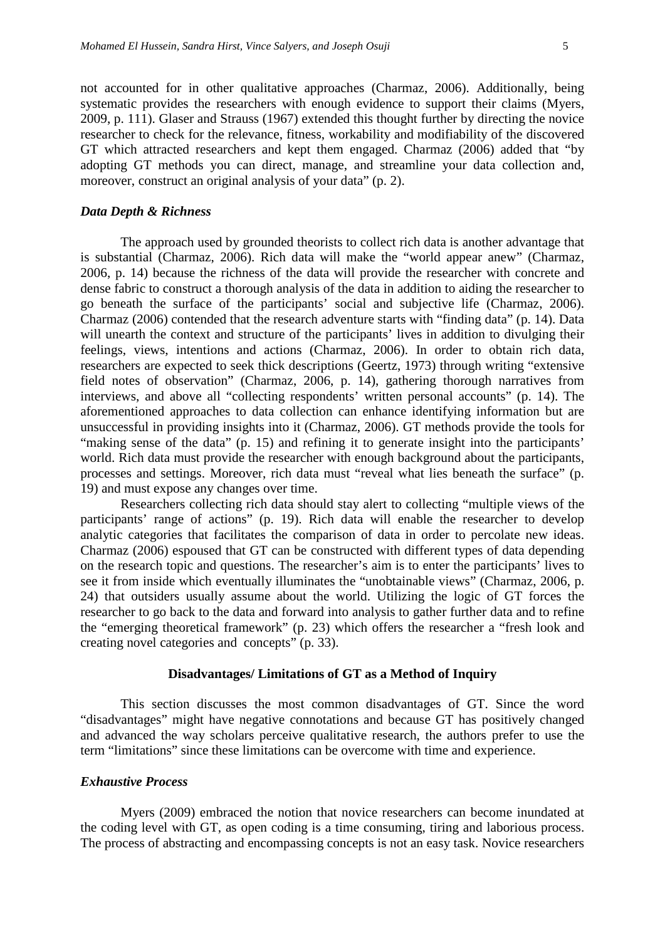not accounted for in other qualitative approaches (Charmaz, 2006). Additionally, being systematic provides the researchers with enough evidence to support their claims (Myers, 2009, p. 111). Glaser and Strauss (1967) extended this thought further by directing the novice researcher to check for the relevance, fitness, workability and modifiability of the discovered GT which attracted researchers and kept them engaged. Charmaz (2006) added that "by adopting GT methods you can direct, manage, and streamline your data collection and, moreover, construct an original analysis of your data" (p. 2).

#### *Data Depth & Richness*

The approach used by grounded theorists to collect rich data is another advantage that is substantial (Charmaz, 2006). Rich data will make the "world appear anew" (Charmaz, 2006, p. 14) because the richness of the data will provide the researcher with concrete and dense fabric to construct a thorough analysis of the data in addition to aiding the researcher to go beneath the surface of the participants' social and subjective life (Charmaz, 2006). Charmaz (2006) contended that the research adventure starts with "finding data" (p. 14). Data will unearth the context and structure of the participants' lives in addition to divulging their feelings, views, intentions and actions (Charmaz, 2006). In order to obtain rich data, researchers are expected to seek thick descriptions (Geertz, 1973) through writing "extensive field notes of observation" (Charmaz, 2006, p. 14), gathering thorough narratives from interviews, and above all "collecting respondents' written personal accounts" (p. 14). The aforementioned approaches to data collection can enhance identifying information but are unsuccessful in providing insights into it (Charmaz, 2006). GT methods provide the tools for "making sense of the data" (p. 15) and refining it to generate insight into the participants' world. Rich data must provide the researcher with enough background about the participants, processes and settings. Moreover, rich data must "reveal what lies beneath the surface" (p. 19) and must expose any changes over time.

Researchers collecting rich data should stay alert to collecting "multiple views of the participants' range of actions" (p. 19). Rich data will enable the researcher to develop analytic categories that facilitates the comparison of data in order to percolate new ideas. Charmaz (2006) espoused that GT can be constructed with different types of data depending on the research topic and questions. The researcher's aim is to enter the participants' lives to see it from inside which eventually illuminates the "unobtainable views" (Charmaz, 2006, p. 24) that outsiders usually assume about the world. Utilizing the logic of GT forces the researcher to go back to the data and forward into analysis to gather further data and to refine the "emerging theoretical framework" (p. 23) which offers the researcher a "fresh look and creating novel categories and concepts" (p. 33).

#### **Disadvantages/ Limitations of GT as a Method of Inquiry**

This section discusses the most common disadvantages of GT. Since the word "disadvantages" might have negative connotations and because GT has positively changed and advanced the way scholars perceive qualitative research, the authors prefer to use the term "limitations" since these limitations can be overcome with time and experience.

#### *Exhaustive Process*

Myers (2009) embraced the notion that novice researchers can become inundated at the coding level with GT, as open coding is a time consuming, tiring and laborious process. The process of abstracting and encompassing concepts is not an easy task. Novice researchers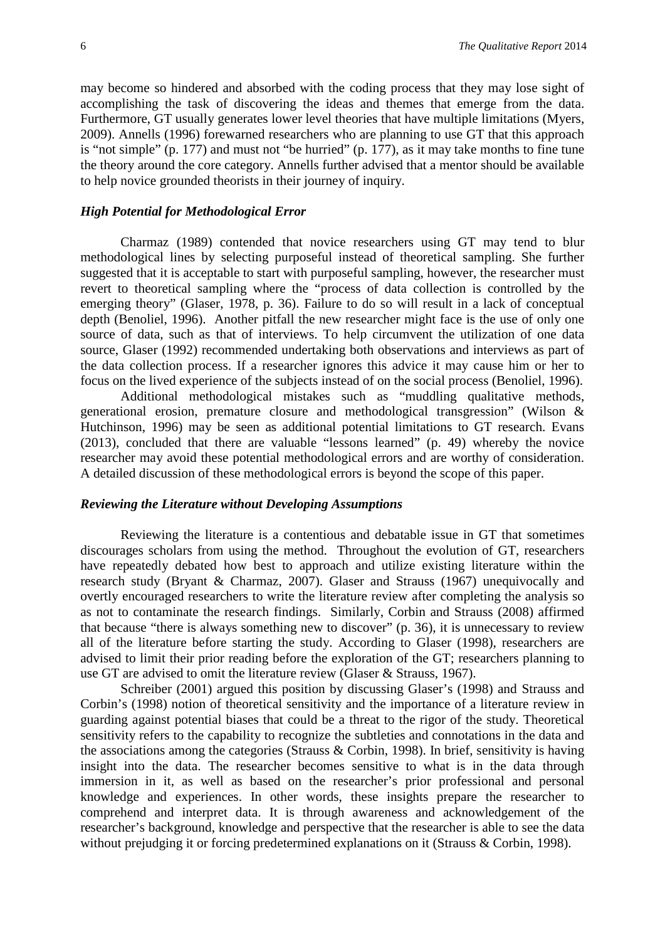may become so hindered and absorbed with the coding process that they may lose sight of accomplishing the task of discovering the ideas and themes that emerge from the data. Furthermore, GT usually generates lower level theories that have multiple limitations (Myers, 2009). Annells (1996) forewarned researchers who are planning to use GT that this approach is "not simple" (p. 177) and must not "be hurried" (p. 177), as it may take months to fine tune the theory around the core category. Annells further advised that a mentor should be available to help novice grounded theorists in their journey of inquiry.

#### *High Potential for Methodological Error*

Charmaz (1989) contended that novice researchers using GT may tend to blur methodological lines by selecting purposeful instead of theoretical sampling. She further suggested that it is acceptable to start with purposeful sampling, however, the researcher must revert to theoretical sampling where the "process of data collection is controlled by the emerging theory" (Glaser, 1978, p. 36). Failure to do so will result in a lack of conceptual depth (Benoliel, 1996). Another pitfall the new researcher might face is the use of only one source of data, such as that of interviews. To help circumvent the utilization of one data source, Glaser (1992) recommended undertaking both observations and interviews as part of the data collection process. If a researcher ignores this advice it may cause him or her to focus on the lived experience of the subjects instead of on the social process (Benoliel, 1996).

Additional methodological mistakes such as "muddling qualitative methods, generational erosion, premature closure and methodological transgression" (Wilson & Hutchinson, 1996) may be seen as additional potential limitations to GT research. Evans (2013), concluded that there are valuable "lessons learned" (p. 49) whereby the novice researcher may avoid these potential methodological errors and are worthy of consideration. A detailed discussion of these methodological errors is beyond the scope of this paper.

#### *Reviewing the Literature without Developing Assumptions*

Reviewing the literature is a contentious and debatable issue in GT that sometimes discourages scholars from using the method. Throughout the evolution of GT, researchers have repeatedly debated how best to approach and utilize existing literature within the research study (Bryant & Charmaz, 2007). Glaser and Strauss (1967) unequivocally and overtly encouraged researchers to write the literature review after completing the analysis so as not to contaminate the research findings. Similarly, Corbin and Strauss (2008) affirmed that because "there is always something new to discover" (p. 36), it is unnecessary to review all of the literature before starting the study. According to Glaser (1998), researchers are advised to limit their prior reading before the exploration of the GT; researchers planning to use GT are advised to omit the literature review (Glaser & Strauss, 1967).

Schreiber (2001) argued this position by discussing Glaser's (1998) and Strauss and Corbin's (1998) notion of theoretical sensitivity and the importance of a literature review in guarding against potential biases that could be a threat to the rigor of the study. Theoretical sensitivity refers to the capability to recognize the subtleties and connotations in the data and the associations among the categories (Strauss & Corbin, 1998). In brief, sensitivity is having insight into the data. The researcher becomes sensitive to what is in the data through immersion in it, as well as based on the researcher's prior professional and personal knowledge and experiences. In other words, these insights prepare the researcher to comprehend and interpret data. It is through awareness and acknowledgement of the researcher's background, knowledge and perspective that the researcher is able to see the data without prejudging it or forcing predetermined explanations on it (Strauss & Corbin, 1998).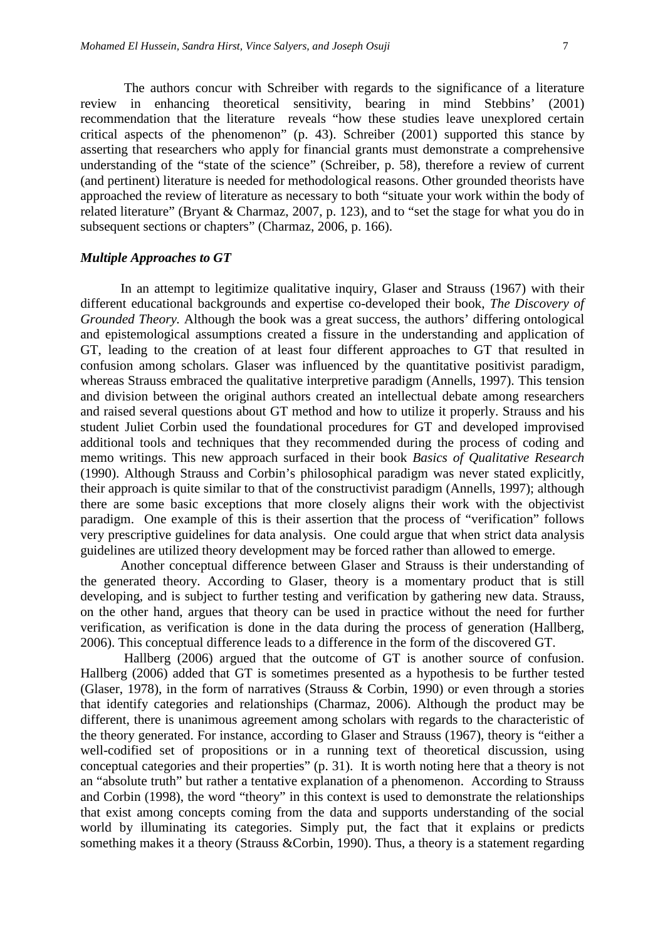The authors concur with Schreiber with regards to the significance of a literature review in enhancing theoretical sensitivity, bearing in mind Stebbins' (2001) recommendation that the literature reveals "how these studies leave unexplored certain critical aspects of the phenomenon" (p. 43). Schreiber (2001) supported this stance by asserting that researchers who apply for financial grants must demonstrate a comprehensive understanding of the "state of the science" (Schreiber, p. 58), therefore a review of current (and pertinent) literature is needed for methodological reasons. Other grounded theorists have approached the review of literature as necessary to both "situate your work within the body of related literature" (Bryant & Charmaz, 2007, p. 123), and to "set the stage for what you do in subsequent sections or chapters" (Charmaz, 2006, p. 166).

#### *Multiple Approaches to GT*

In an attempt to legitimize qualitative inquiry, Glaser and Strauss (1967) with their different educational backgrounds and expertise co-developed their book, *The Discovery of Grounded Theory.* Although the book was a great success, the authors' differing ontological and epistemological assumptions created a fissure in the understanding and application of GT, leading to the creation of at least four different approaches to GT that resulted in confusion among scholars. Glaser was influenced by the quantitative positivist paradigm, whereas Strauss embraced the qualitative interpretive paradigm (Annells, 1997). This tension and division between the original authors created an intellectual debate among researchers and raised several questions about GT method and how to utilize it properly. Strauss and his student Juliet Corbin used the foundational procedures for GT and developed improvised additional tools and techniques that they recommended during the process of coding and memo writings. This new approach surfaced in their book *Basics of Qualitative Research* (1990). Although Strauss and Corbin's philosophical paradigm was never stated explicitly, their approach is quite similar to that of the constructivist paradigm (Annells, 1997); although there are some basic exceptions that more closely aligns their work with the objectivist paradigm. One example of this is their assertion that the process of "verification" follows very prescriptive guidelines for data analysis. One could argue that when strict data analysis guidelines are utilized theory development may be forced rather than allowed to emerge.

Another conceptual difference between Glaser and Strauss is their understanding of the generated theory. According to Glaser, theory is a momentary product that is still developing, and is subject to further testing and verification by gathering new data. Strauss, on the other hand, argues that theory can be used in practice without the need for further verification, as verification is done in the data during the process of generation (Hallberg, 2006). This conceptual difference leads to a difference in the form of the discovered GT.

Hallberg (2006) argued that the outcome of GT is another source of confusion. Hallberg (2006) added that GT is sometimes presented as a hypothesis to be further tested (Glaser, 1978), in the form of narratives (Strauss & Corbin, 1990) or even through a stories that identify categories and relationships (Charmaz, 2006). Although the product may be different, there is unanimous agreement among scholars with regards to the characteristic of the theory generated. For instance, according to Glaser and Strauss (1967), theory is "either a well-codified set of propositions or in a running text of theoretical discussion, using conceptual categories and their properties" (p. 31). It is worth noting here that a theory is not an "absolute truth" but rather a tentative explanation of a phenomenon. According to Strauss and Corbin (1998), the word "theory" in this context is used to demonstrate the relationships that exist among concepts coming from the data and supports understanding of the social world by illuminating its categories. Simply put, the fact that it explains or predicts something makes it a theory (Strauss &Corbin, 1990). Thus, a theory is a statement regarding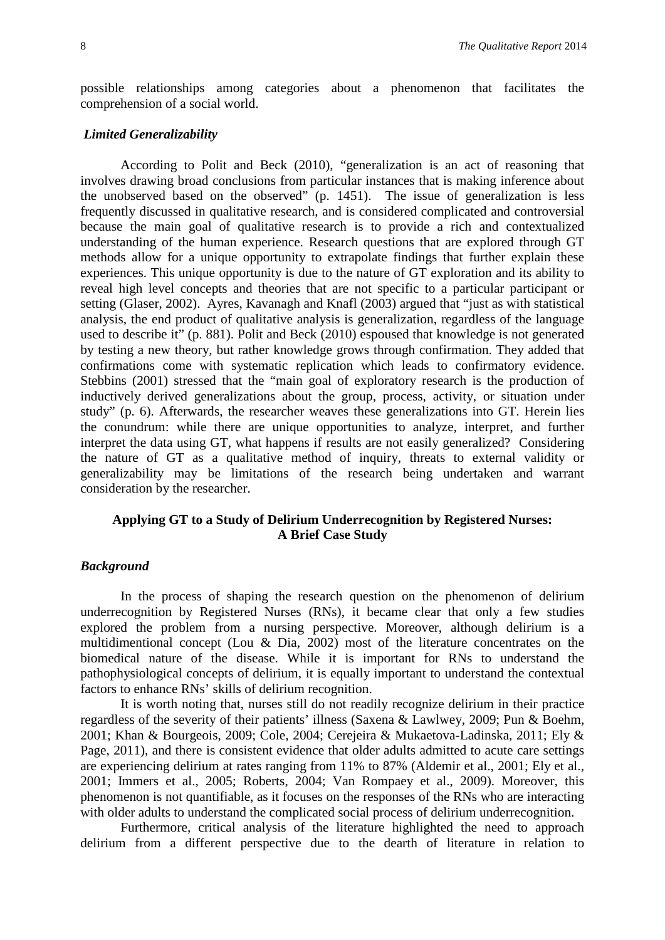possible relationships among categories about a phenomenon that facilitates the comprehension of a social world.

#### *Limited Generalizability*

According to Polit and Beck (2010), "generalization is an act of reasoning that involves drawing broad conclusions from particular instances that is making inference about the unobserved based on the observed" (p. 1451). The issue of generalization is less frequently discussed in qualitative research, and is considered complicated and controversial because the main goal of qualitative research is to provide a rich and contextualized understanding of the human experience. Research questions that are explored through GT methods allow for a unique opportunity to extrapolate findings that further explain these experiences. This unique opportunity is due to the nature of GT exploration and its ability to reveal high level concepts and theories that are not specific to a particular participant or setting (Glaser, 2002). Ayres, Kavanagh and Knafl (2003) argued that "just as with statistical analysis, the end product of qualitative analysis is generalization, regardless of the language used to describe it" (p. 881). Polit and Beck (2010) espoused that knowledge is not generated by testing a new theory, but rather knowledge grows through confirmation. They added that confirmations come with systematic replication which leads to confirmatory evidence. Stebbins (2001) stressed that the "main goal of exploratory research is the production of inductively derived generalizations about the group, process, activity, or situation under study" (p. 6). Afterwards, the researcher weaves these generalizations into GT. Herein lies the conundrum: while there are unique opportunities to analyze, interpret, and further interpret the data using GT, what happens if results are not easily generalized? Considering the nature of GT as a qualitative method of inquiry, threats to external validity or generalizability may be limitations of the research being undertaken and warrant consideration by the researcher.

# **Applying GT to a Study of Delirium Underrecognition by Registered Nurses: A Brief Case Study**

### *Background*

In the process of shaping the research question on the phenomenon of delirium underrecognition by Registered Nurses (RNs), it became clear that only a few studies explored the problem from a nursing perspective. Moreover, although delirium is a multidimentional concept (Lou & Dia, 2002) most of the literature concentrates on the biomedical nature of the disease. While it is important for RNs to understand the pathophysiological concepts of delirium, it is equally important to understand the contextual factors to enhance RNs' skills of delirium recognition.

It is worth noting that, nurses still do not readily recognize delirium in their practice regardless of the severity of their patients' illness (Saxena & Lawlwey, 2009; Pun & Boehm, 2001; Khan & Bourgeois, 2009; Cole, 2004; Cerejeira & Mukaetova-Ladinska, 2011; Ely & Page, 2011), and there is consistent evidence that older adults admitted to acute care settings are experiencing delirium at rates ranging from 11% to 87% (Aldemir et al., 2001; Ely et al., 2001; Immers et al., 2005; Roberts, 2004; Van Rompaey et al., 2009). Moreover, this phenomenon is not quantifiable, as it focuses on the responses of the RNs who are interacting with older adults to understand the complicated social process of delirium underrecognition.

Furthermore, critical analysis of the literature highlighted the need to approach delirium from a different perspective due to the dearth of literature in relation to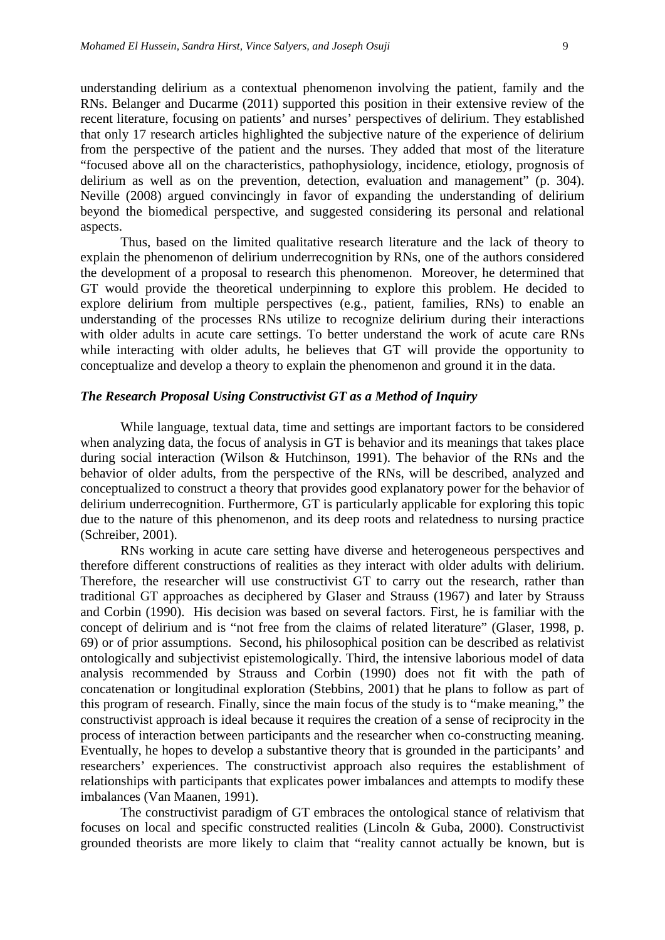understanding delirium as a contextual phenomenon involving the patient, family and the RNs. Belanger and Ducarme (2011) supported this position in their extensive review of the recent literature, focusing on patients' and nurses' perspectives of delirium. They established that only 17 research articles highlighted the subjective nature of the experience of delirium from the perspective of the patient and the nurses. They added that most of the literature "focused above all on the characteristics, pathophysiology, incidence, etiology, prognosis of delirium as well as on the prevention, detection, evaluation and management" (p. 304). Neville (2008) argued convincingly in favor of expanding the understanding of delirium beyond the biomedical perspective, and suggested considering its personal and relational aspects.

Thus, based on the limited qualitative research literature and the lack of theory to explain the phenomenon of delirium underrecognition by RNs, one of the authors considered the development of a proposal to research this phenomenon. Moreover, he determined that GT would provide the theoretical underpinning to explore this problem. He decided to explore delirium from multiple perspectives (e.g., patient, families, RNs) to enable an understanding of the processes RNs utilize to recognize delirium during their interactions with older adults in acute care settings. To better understand the work of acute care RNs while interacting with older adults, he believes that GT will provide the opportunity to conceptualize and develop a theory to explain the phenomenon and ground it in the data.

### *The Research Proposal Using Constructivist GT as a Method of Inquiry*

While language, textual data, time and settings are important factors to be considered when analyzing data, the focus of analysis in GT is behavior and its meanings that takes place during social interaction (Wilson & Hutchinson, 1991). The behavior of the RNs and the behavior of older adults, from the perspective of the RNs, will be described, analyzed and conceptualized to construct a theory that provides good explanatory power for the behavior of delirium underrecognition. Furthermore, GT is particularly applicable for exploring this topic due to the nature of this phenomenon, and its deep roots and relatedness to nursing practice (Schreiber, 2001).

RNs working in acute care setting have diverse and heterogeneous perspectives and therefore different constructions of realities as they interact with older adults with delirium. Therefore, the researcher will use constructivist GT to carry out the research, rather than traditional GT approaches as deciphered by Glaser and Strauss (1967) and later by Strauss and Corbin (1990). His decision was based on several factors. First, he is familiar with the concept of delirium and is "not free from the claims of related literature" (Glaser, 1998, p. 69) or of prior assumptions. Second, his philosophical position can be described as relativist ontologically and subjectivist epistemologically. Third, the intensive laborious model of data analysis recommended by Strauss and Corbin (1990) does not fit with the path of concatenation or longitudinal exploration (Stebbins, 2001) that he plans to follow as part of this program of research. Finally, since the main focus of the study is to "make meaning," the constructivist approach is ideal because it requires the creation of a sense of reciprocity in the process of interaction between participants and the researcher when co-constructing meaning. Eventually, he hopes to develop a substantive theory that is grounded in the participants' and researchers' experiences. The constructivist approach also requires the establishment of relationships with participants that explicates power imbalances and attempts to modify these imbalances (Van Maanen, 1991).

The constructivist paradigm of GT embraces the ontological stance of relativism that focuses on local and specific constructed realities (Lincoln & Guba, 2000). Constructivist grounded theorists are more likely to claim that "reality cannot actually be known, but is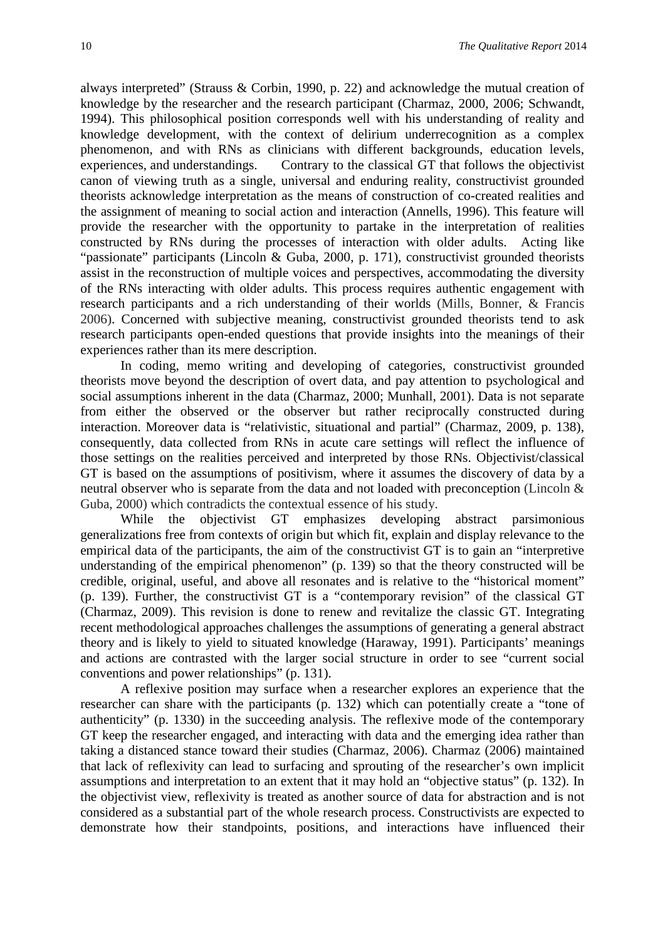always interpreted" (Strauss & Corbin, 1990, p. 22) and acknowledge the mutual creation of knowledge by the researcher and the research participant (Charmaz, 2000, 2006; Schwandt, 1994). This philosophical position corresponds well with his understanding of reality and knowledge development, with the context of delirium underrecognition as a complex phenomenon, and with RNs as clinicians with different backgrounds, education levels, experiences, and understandings. Contrary to the classical GT that follows the objectivist canon of viewing truth as a single, universal and enduring reality, constructivist grounded theorists acknowledge interpretation as the means of construction of co-created realities and the assignment of meaning to social action and interaction (Annells, 1996). This feature will provide the researcher with the opportunity to partake in the interpretation of realities constructed by RNs during the processes of interaction with older adults. Acting like "passionate" participants (Lincoln & Guba, 2000, p. 171), constructivist grounded theorists assist in the reconstruction of multiple voices and perspectives, accommodating the diversity of the RNs interacting with older adults. This process requires authentic engagement with research participants and a rich understanding of their worlds (Mills, Bonner, & Francis 2006). Concerned with subjective meaning, constructivist grounded theorists tend to ask research participants open-ended questions that provide insights into the meanings of their experiences rather than its mere description.

In coding, memo writing and developing of categories, constructivist grounded theorists move beyond the description of overt data, and pay attention to psychological and social assumptions inherent in the data (Charmaz, 2000; Munhall, 2001). Data is not separate from either the observed or the observer but rather reciprocally constructed during interaction. Moreover data is "relativistic, situational and partial" (Charmaz, 2009, p. 138), consequently, data collected from RNs in acute care settings will reflect the influence of those settings on the realities perceived and interpreted by those RNs. Objectivist/classical GT is based on the assumptions of positivism, where it assumes the discovery of data by a neutral observer who is separate from the data and not loaded with preconception (Lincoln & Guba, 2000) which contradicts the contextual essence of his study.

While the objectivist GT emphasizes developing abstract parsimonious generalizations free from contexts of origin but which fit, explain and display relevance to the empirical data of the participants, the aim of the constructivist GT is to gain an "interpretive understanding of the empirical phenomenon" (p. 139) so that the theory constructed will be credible, original, useful, and above all resonates and is relative to the "historical moment" (p. 139). Further, the constructivist GT is a "contemporary revision" of the classical GT (Charmaz, 2009). This revision is done to renew and revitalize the classic GT. Integrating recent methodological approaches challenges the assumptions of generating a general abstract theory and is likely to yield to situated knowledge (Haraway, 1991). Participants' meanings and actions are contrasted with the larger social structure in order to see "current social conventions and power relationships" (p. 131).

A reflexive position may surface when a researcher explores an experience that the researcher can share with the participants (p. 132) which can potentially create a "tone of authenticity" (p. 1330) in the succeeding analysis. The reflexive mode of the contemporary GT keep the researcher engaged, and interacting with data and the emerging idea rather than taking a distanced stance toward their studies (Charmaz, 2006). Charmaz (2006) maintained that lack of reflexivity can lead to surfacing and sprouting of the researcher's own implicit assumptions and interpretation to an extent that it may hold an "objective status" (p. 132). In the objectivist view, reflexivity is treated as another source of data for abstraction and is not considered as a substantial part of the whole research process. Constructivists are expected to demonstrate how their standpoints, positions, and interactions have influenced their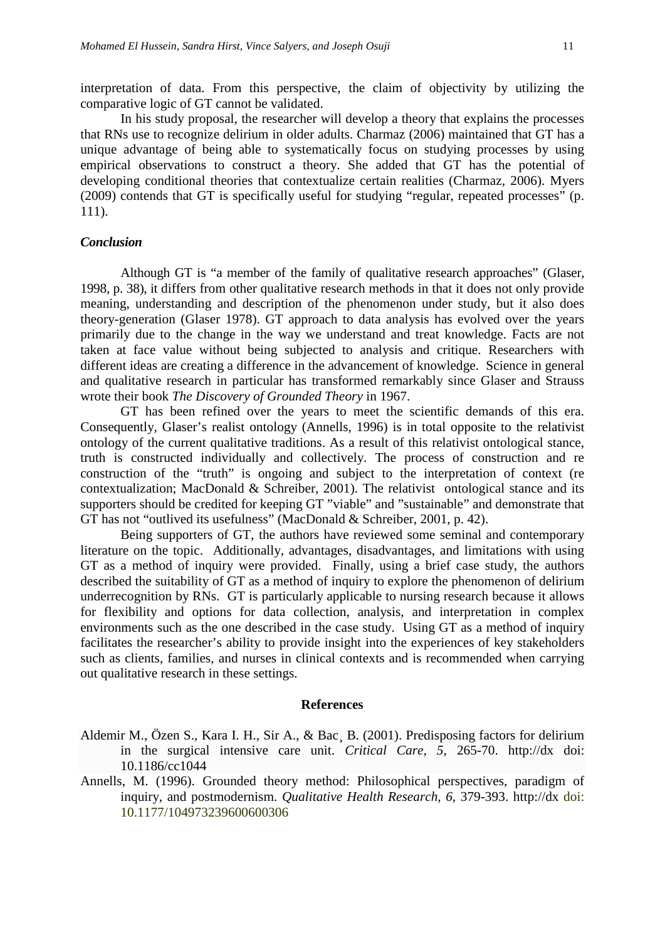interpretation of data. From this perspective, the claim of objectivity by utilizing the comparative logic of GT cannot be validated.

In his study proposal, the researcher will develop a theory that explains the processes that RNs use to recognize delirium in older adults. Charmaz (2006) maintained that GT has a unique advantage of being able to systematically focus on studying processes by using empirical observations to construct a theory. She added that GT has the potential of developing conditional theories that contextualize certain realities (Charmaz, 2006). Myers (2009) contends that GT is specifically useful for studying "regular, repeated processes" (p. 111).

#### *Conclusion*

Although GT is "a member of the family of qualitative research approaches" (Glaser, 1998, p. 38), it differs from other qualitative research methods in that it does not only provide meaning, understanding and description of the phenomenon under study, but it also does theory-generation (Glaser 1978). GT approach to data analysis has evolved over the years primarily due to the change in the way we understand and treat knowledge. Facts are not taken at face value without being subjected to analysis and critique. Researchers with different ideas are creating a difference in the advancement of knowledge. Science in general and qualitative research in particular has transformed remarkably since Glaser and Strauss wrote their book *The Discovery of Grounded Theory* in 1967.

GT has been refined over the years to meet the scientific demands of this era. Consequently, Glaser's realist ontology (Annells, 1996) is in total opposite to the relativist ontology of the current qualitative traditions. As a result of this relativist ontological stance, truth is constructed individually and collectively. The process of construction and re construction of the "truth" is ongoing and subject to the interpretation of context (re contextualization; MacDonald & Schreiber, 2001). The relativist ontological stance and its supporters should be credited for keeping GT "viable" and "sustainable" and demonstrate that GT has not "outlived its usefulness" (MacDonald & Schreiber, 2001, p. 42).

Being supporters of GT, the authors have reviewed some seminal and contemporary literature on the topic. Additionally, advantages, disadvantages, and limitations with using GT as a method of inquiry were provided. Finally, using a brief case study, the authors described the suitability of GT as a method of inquiry to explore the phenomenon of delirium underrecognition by RNs. GT is particularly applicable to nursing research because it allows for flexibility and options for data collection, analysis, and interpretation in complex environments such as the one described in the case study. Using GT as a method of inquiry facilitates the researcher's ability to provide insight into the experiences of key stakeholders such as clients, families, and nurses in clinical contexts and is recommended when carrying out qualitative research in these settings.

#### **References**

Aldemir M., Özen S., Kara I. H., Sir A., & Bac¸ B. (2001). Predisposing factors for delirium in the surgical intensive care unit. *Critical Care, 5*, 265-70. http://dx doi: 10.1186/cc1044

Annells, M. (1996). Grounded theory method: Philosophical perspectives, paradigm of inquiry, and postmodernism. *Qualitative Health Research, 6*, 379-393. http://dx doi: 10.1177/104973239600600306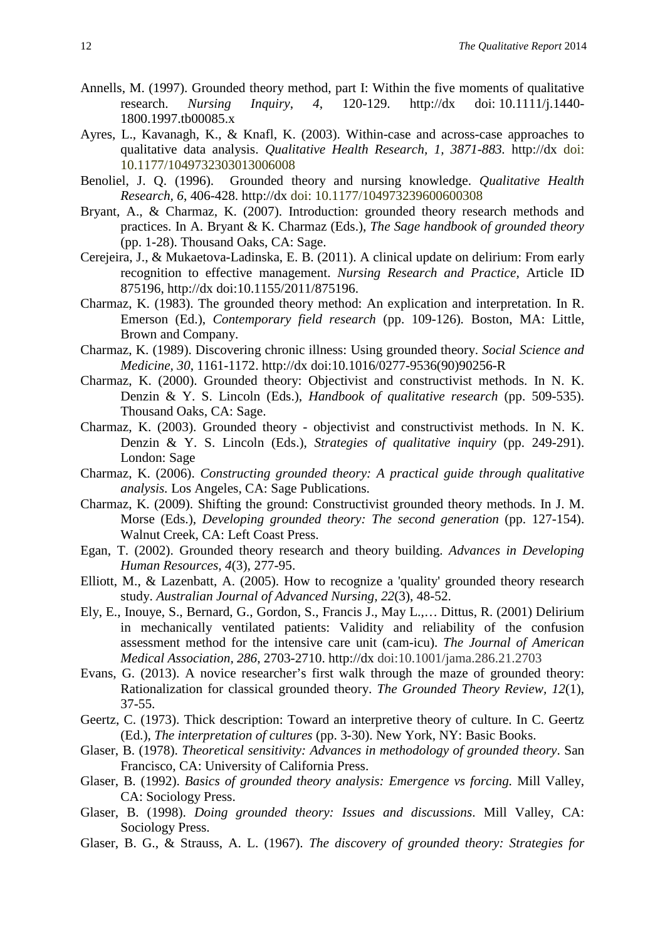- Annells, M. (1997). Grounded theory method, part I: Within the five moments of qualitative research. *Nursing Inquiry*, *4*, 120-129. http://dx doi: 10.1111/j.1440- 1800.1997.tb00085.x
- Ayres, L., Kavanagh, K., & Knafl, K. (2003). Within-case and across-case approaches to qualitative data analysis. *Qualitative Health Research, 1, 3871-883.* http://dx doi: 10.1177/1049732303013006008
- Benoliel, J. Q. (1996). Grounded theory and nursing knowledge. *Qualitative Health Research, 6*, 406-428. http://dx doi: 10.1177/104973239600600308
- Bryant, A., & Charmaz, K. (2007). Introduction: grounded theory research methods and practices. In A. Bryant & K. Charmaz (Eds.), *The Sage handbook of grounded theory* (pp. 1-28). Thousand Oaks, CA: Sage.
- Cerejeira, J., & Mukaetova-Ladinska, E. B. (2011). A clinical update on delirium: From early recognition to effective management. *Nursing Research and Practice,* Article ID 875196, http://dx doi:10.1155/2011/875196.
- Charmaz, K. (1983). The grounded theory method: An explication and interpretation. In R. Emerson (Ed.), *Contemporary field research* (pp. 109-126)*.* Boston, MA: Little, Brown and Company.
- Charmaz, K. (1989). Discovering chronic illness: Using grounded theory. *Social Science and Medicine, 30*, 1161-1172. http://dx doi:10.1016/0277-9536(90)90256-R
- Charmaz, K. (2000). Grounded theory: Objectivist and constructivist methods. In N. K. Denzi[n](http://www.qualitative-research.net/fqs/beirat/denzin-e.htm) & Y. S. Lincoln (Eds.), *Handbook of qualitative research* (pp. 509-535). Thousand Oaks, CA: Sage.
- Charmaz, K. (2003). Grounded theory objectivist and constructivist methods. In N. K. Denzin & Y. S. Lincoln (Eds.), *Strategies of qualitative inquiry* (pp. 249-291). London: Sage
- Charmaz, K. (2006). *Constructing grounded theory: A practical guide through qualitative analysis.* Los Angeles, CA: Sage Publications.
- Charmaz, K. (2009). Shifting the ground: Constructivist grounded theory methods. In J. M. Morse (Eds.), *Developing grounded theory: The second generation* (pp. 127-154). Walnut Creek, CA: Left Coast Press.
- Egan, T. (2002). Grounded theory research and theory building. *Advances in Developing Human Resources, 4*(3), 277-95.
- Elliott, M., & Lazenbatt, A. (2005). How to recognize a 'quality' grounded theory research study. *Australian Journal of Advanced Nursing, 22*(3), 48-52.
- Ely, E., Inouye, S., Bernard, G., Gordon, S., Francis J., May L.,… Dittus, R. (2001) Delirium in mechanically ventilated patients: Validity and reliability of the confusion assessment method for the intensive care unit (cam-icu). *The Journal of American Medical Association, 286*, 2703-2710. http://dx doi:10.1001/jama.286.21.2703
- Evans, G. (2013). A novice researcher's first walk through the maze of grounded theory: Rationalization for classical grounded theory. *The Grounded Theory Review, 12*(1), 37-55.
- Geertz, C. (1973). Thick description: Toward an interpretive theory of culture. In C. Geertz (Ed.), *The interpretation of cultures* (pp. 3-30). New York, NY: Basic Books.
- Glaser, B. (1978). *Theoretical sensitivity: Advances in methodology of grounded theory*. San Francisco, CA: University of California Press.
- Glaser, B. (1992). *Basics of grounded theory analysis: Emergence vs forcing.* Mill Valley, CA: Sociology Press.
- Glaser, B. (1998). *Doing grounded theory: Issues and discussions*. Mill Valley, CA: Sociology Press.
- Glaser, B. G., & Strauss, A. L. (1967). *The discovery of grounded theory: Strategies for*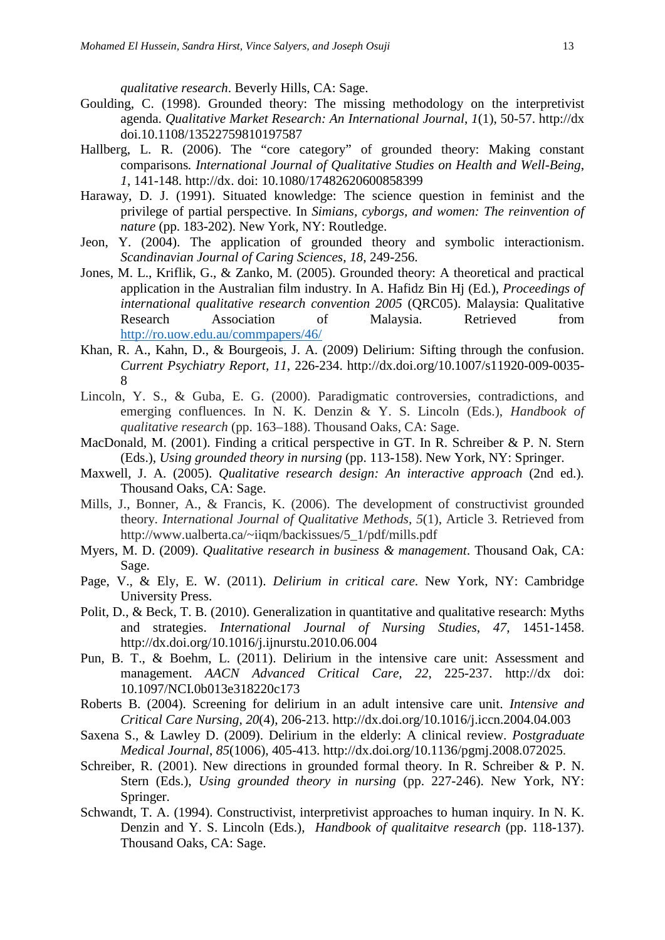*qualitative research*. Beverly Hills, CA: Sage.

- Goulding, C. (1998). Grounded theory: The missing methodology on the interpretivist agenda. *Qualitative Market Research: An International Journal*, *1*(1), 50-57. http://dx doi.10.1108/13522759810197587
- Hallberg, L. R. (2006). The "core category" of grounded theory: Making constant comparisons*. International Journal of Qualitative Studies on Health and Well-Being*, *1*, 141-148. http://dx. doi: 10.1080/17482620600858399
- Haraway, D. J. (1991). Situated knowledge: The science question in feminist and the privilege of partial perspective. In *Simians, cyborgs, and women: The reinvention of nature* (pp. 183-202). New York, NY: Routledge.
- Jeon, Y. (2004). The application of grounded theory and symbolic interactionism. *Scandinavian Journal of Caring Sciences*, *18*, 249-256.
- Jones, M. L., Kriflik, G., & Zanko, M. (2005). Grounded theory: A theoretical and practical application in the Australian film industry. In A. Hafidz Bin Hj (Ed.), *Proceedings of international qualitative research convention 2005* (QRC05). Malaysia: Qualitative Research Association of Malaysia. Retrieved from <http://ro.uow.edu.au/commpapers/46/>
- Khan, R. A., Kahn, D., & Bourgeois, J. A. (2009) Delirium: Sifting through the confusion. *Current Psychiatry Report, 11*, 226-234. http://dx.doi.org/10.1007/s11920-009-0035- 8
- Lincoln, Y. S., & Guba, E. G. (2000). Paradigmatic controversies, contradictions, and emerging confluences. In N. K. Denzin & Y. S. Lincoln (Eds.), *Handbook of qualitative research* (pp. 163–188). Thousand Oaks, CA: Sage.
- MacDonald, M. (2001). Finding a critical perspective in GT. In R. Schreiber & P. N. Stern (Eds.), *Using grounded theory in nursing* (pp. 113-158). New York, NY: Springer.
- Maxwell, J. A. (2005). *Qualitative research design: An interactive approach* (2nd ed.)*.* Thousand Oaks, CA: Sage.
- Mills, J., Bonner, A., & Francis, K. (2006). The development of constructivist grounded theory. *International Journal of Qualitative Methods*, *5*(1), Article 3. Retrieved from http://www.ualberta.ca/~iiqm/backissues/5\_1/pdf/mills.pdf
- Myers, M. D. (2009). *Qualitative research in business & management*. Thousand Oak, CA: Sage.
- Page, V., & Ely, E. W. (2011). *Delirium in critical care*. New York, NY: Cambridge University Press.
- Polit, D., & Beck, T. B. (2010). Generalization in quantitative and qualitative research: Myths and strategies. *International Journal of Nursing Studies*, *47*, 1451-1458. http://dx.doi.org/10.1016/j.ijnurstu.2010.06.004
- Pun, B. T., & Boehm, L. (2011). Delirium in the intensive care unit: Assessment and management. *AACN Advanced Critical Care, 22*, 225-237. http://dx doi: 10.1097/NCI.0b013e318220c173
- Roberts B. (2004). Screening for delirium in an adult intensive care unit. *Intensive and Critical Care Nursing, 20*(4), 206-213.<http://dx.doi.org/10.1016/j.iccn.2004.04.003>
- Saxena S., & Lawley D. (2009). Delirium in the elderly: A clinical review. *Postgraduate Medical Journal*, *85*(1006), 405-413. http://dx.doi.org/10.1136/pgmj.2008.072025.
- Schreiber, R. (2001). New directions in grounded formal theory. In R. Schreiber & P. N. Stern (Eds.), *Using grounded theory in nursing* (pp. 227-246). New York, NY: Springer.
- Schwandt, T. A. (1994). Constructivist, interpretivist approaches to human inquiry. In N. K. Denzin and Y. S. Lincoln (Eds.), *Handbook of qualitaitve research* (pp. 118-137). Thousand Oaks, CA: Sage.